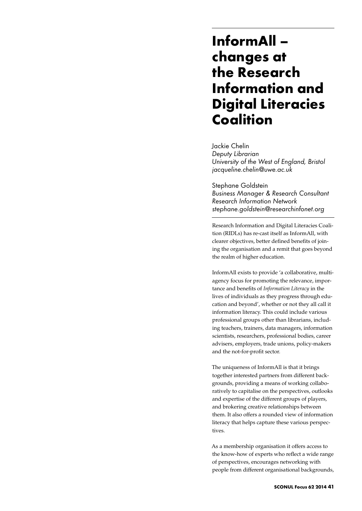## **InformAll – changes at the Research Information and Digital Literacies Coalition**

Jackie Chelin *Deputy Librarian University of the West of England, Bristol jacqueline.chelin@uwe.ac.uk*

Stephane Goldstein *Business Manager & Research Consultant Research Information Network stephane.goldstein@researchinfonet.org*

Research Information and Digital Literacies Coalition (RIDLs) has re-cast itself as InformAll, with clearer objectives, better defined benefits of joining the organisation and a remit that goes beyond the realm of higher education.

InformAll exists to provide 'a collaborative, multiagency focus for promoting the relevance, importance and benefits of *Information Literacy* in the lives of individuals as they progress through education and beyond', whether or not they all call it information literacy. This could include various professional groups other than librarians, including teachers, trainers, data managers, information scientists, researchers, professional bodies, career advisers, employers, trade unions, policy-makers and the not-for-profit sector.

The uniqueness of InformAll is that it brings together interested partners from different backgrounds, providing a means of working collaboratively to capitalise on the perspectives, outlooks and expertise of the different groups of players, and brokering creative relationships between them. It also offers a rounded view of information literacy that helps capture these various perspectives.

As a membership organisation it offers access to the know-how of experts who reflect a wide range of perspectives, encourages networking with people from different organisational backgrounds,